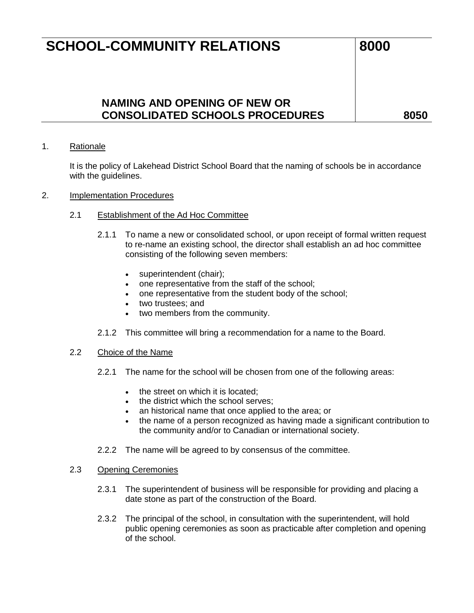# **SCHOOL-COMMUNITY RELATIONS** 8000

## **NAMING AND OPENING OF NEW OR CONSOLIDATED SCHOOLS PROCEDURES 8050**

### 1. Rationale

It is the policy of Lakehead District School Board that the naming of schools be in accordance with the guidelines.

- 2. Implementation Procedures
	- 2.1 Establishment of the Ad Hoc Committee
		- 2.1.1 To name a new or consolidated school, or upon receipt of formal written request to re-name an existing school, the director shall establish an ad hoc committee consisting of the following seven members:
			- superintendent (chair);
			- one representative from the staff of the school;
			- one representative from the student body of the school;
			- two trustees; and
			- two members from the community.
		- 2.1.2 This committee will bring a recommendation for a name to the Board.

#### 2.2 Choice of the Name

- 2.2.1 The name for the school will be chosen from one of the following areas:
	- the street on which it is located;
	- the district which the school serves:
	- an historical name that once applied to the area; or
	- the name of a person recognized as having made a significant contribution to the community and/or to Canadian or international society.
- 2.2.2 The name will be agreed to by consensus of the committee.

#### 2.3 Opening Ceremonies

- 2.3.1 The superintendent of business will be responsible for providing and placing a date stone as part of the construction of the Board.
- 2.3.2 The principal of the school, in consultation with the superintendent, will hold public opening ceremonies as soon as practicable after completion and opening of the school.